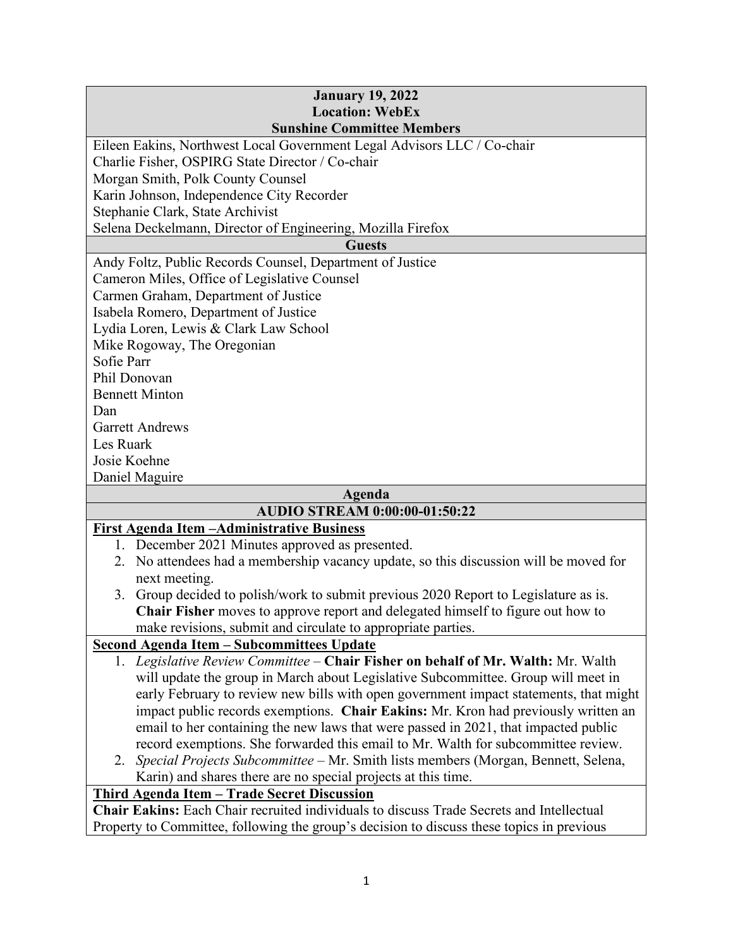### **January 19, 2022 Location: WebEx Sunshine Committee Members**  Eileen Eakins, Northwest Local Government Legal Advisors LLC / Co-chair Charlie Fisher, OSPIRG State Director / Co-chair Morgan Smith, Polk County Counsel Karin Johnson, Independence City Recorder Stephanie Clark, State Archivist Selena Deckelmann, Director of Engineering, Mozilla Firefox **Guests**  Andy Foltz, Public Records Counsel, Department of Justice Cameron Miles, Office of Legislative Counsel Carmen Graham, Department of Justice Isabela Romero, Department of Justice Lydia Loren, Lewis & Clark Law School Mike Rogoway, The Oregonian Sofie Parr Phil Donovan Bennett Minton Dan Garrett Andrews Les Ruark Josie Koehne Daniel Maguire

# **Agenda**

## **AUDIO STREAM 0:00:00-01:50:22**

## **First Agenda Item –Administrative Business**

- 1. December 2021 Minutes approved as presented.
- 2. No attendees had a membership vacancy update, so this discussion will be moved for next meeting.
- 3. Group decided to polish/work to submit previous 2020 Report to Legislature as is. **Chair Fisher** moves to approve report and delegated himself to figure out how to make revisions, submit and circulate to appropriate parties.

## **Second Agenda Item – Subcommittees Update**

- 1. *Legislative Review Committee* **Chair Fisher on behalf of Mr. Walth:** Mr. Walth will update the group in March about Legislative Subcommittee. Group will meet in early February to review new bills with open government impact statements, that might impact public records exemptions. **Chair Eakins:** Mr. Kron had previously written an email to her containing the new laws that were passed in 2021, that impacted public record exemptions. She forwarded this email to Mr. Walth for subcommittee review.
- 2. *Special Projects Subcommittee* Mr. Smith lists members (Morgan, Bennett, Selena, Karin) and shares there are no special projects at this time.

## **Third Agenda Item – Trade Secret Discussion**

**Chair Eakins:** Each Chair recruited individuals to discuss Trade Secrets and Intellectual Property to Committee, following the group's decision to discuss these topics in previous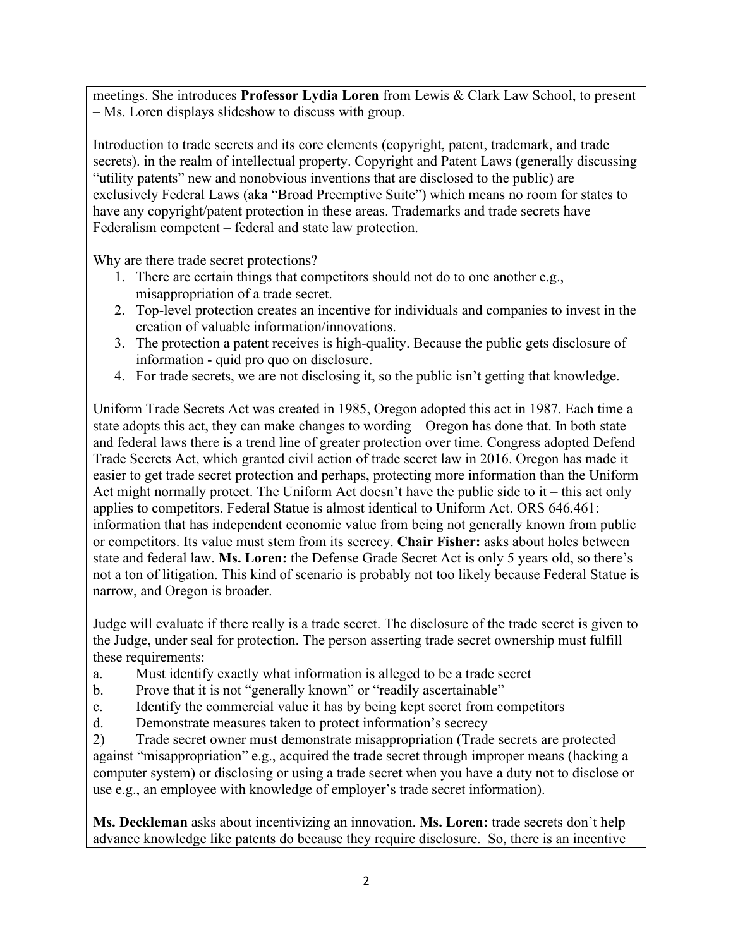meetings. She introduces **Professor Lydia Loren** from Lewis & Clark Law School, to present – Ms. Loren displays slideshow to discuss with group.

Introduction to trade secrets and its core elements (copyright, patent, trademark, and trade secrets). in the realm of intellectual property. Copyright and Patent Laws (generally discussing "utility patents" new and nonobvious inventions that are disclosed to the public) are exclusively Federal Laws (aka "Broad Preemptive Suite") which means no room for states to have any copyright/patent protection in these areas. Trademarks and trade secrets have Federalism competent – federal and state law protection.

Why are there trade secret protections?

- 1. There are certain things that competitors should not do to one another e.g., misappropriation of a trade secret.
- 2. Top-level protection creates an incentive for individuals and companies to invest in the creation of valuable information/innovations.
- 3. The protection a patent receives is high-quality. Because the public gets disclosure of information - quid pro quo on disclosure.
- 4. For trade secrets, we are not disclosing it, so the public isn't getting that knowledge.

Uniform Trade Secrets Act was created in 1985, Oregon adopted this act in 1987. Each time a state adopts this act, they can make changes to wording – Oregon has done that. In both state and federal laws there is a trend line of greater protection over time. Congress adopted Defend Trade Secrets Act, which granted civil action of trade secret law in 2016. Oregon has made it easier to get trade secret protection and perhaps, protecting more information than the Uniform Act might normally protect. The Uniform Act doesn't have the public side to it – this act only applies to competitors. Federal Statue is almost identical to Uniform Act. ORS 646.461: information that has independent economic value from being not generally known from public or competitors. Its value must stem from its secrecy. **Chair Fisher:** asks about holes between state and federal law. **Ms. Loren:** the Defense Grade Secret Act is only 5 years old, so there's not a ton of litigation. This kind of scenario is probably not too likely because Federal Statue is narrow, and Oregon is broader.

Judge will evaluate if there really is a trade secret. The disclosure of the trade secret is given to the Judge, under seal for protection. The person asserting trade secret ownership must fulfill these requirements:

- a. Must identify exactly what information is alleged to be a trade secret
- b. Prove that it is not "generally known" or "readily ascertainable"
- c. Identify the commercial value it has by being kept secret from competitors
- d. Demonstrate measures taken to protect information's secrecy

2) Trade secret owner must demonstrate misappropriation (Trade secrets are protected against "misappropriation" e.g., acquired the trade secret through improper means (hacking a computer system) or disclosing or using a trade secret when you have a duty not to disclose or use e.g., an employee with knowledge of employer's trade secret information).

**Ms. Deckleman** asks about incentivizing an innovation. **Ms. Loren:** trade secrets don't help advance knowledge like patents do because they require disclosure. So, there is an incentive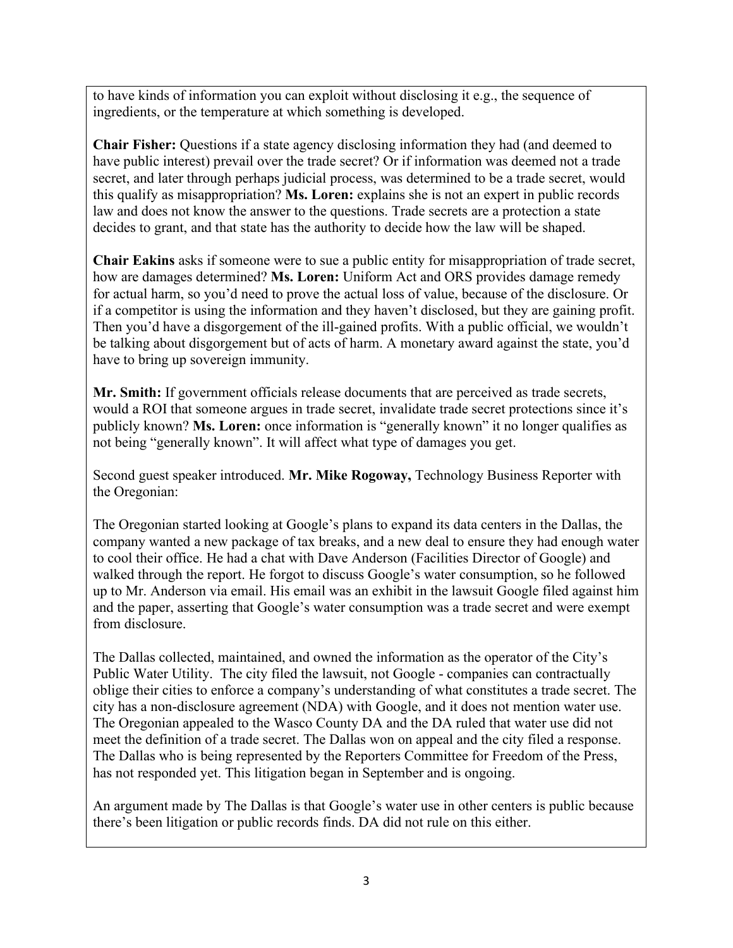to have kinds of information you can exploit without disclosing it e.g., the sequence of ingredients, or the temperature at which something is developed.

**Chair Fisher:** Questions if a state agency disclosing information they had (and deemed to have public interest) prevail over the trade secret? Or if information was deemed not a trade secret, and later through perhaps judicial process, was determined to be a trade secret, would this qualify as misappropriation? **Ms. Loren:** explains she is not an expert in public records law and does not know the answer to the questions. Trade secrets are a protection a state decides to grant, and that state has the authority to decide how the law will be shaped.

**Chair Eakins** asks if someone were to sue a public entity for misappropriation of trade secret, how are damages determined? **Ms. Loren:** Uniform Act and ORS provides damage remedy for actual harm, so you'd need to prove the actual loss of value, because of the disclosure. Or if a competitor is using the information and they haven't disclosed, but they are gaining profit. Then you'd have a disgorgement of the ill-gained profits. With a public official, we wouldn't be talking about disgorgement but of acts of harm. A monetary award against the state, you'd have to bring up sovereign immunity.

**Mr. Smith:** If government officials release documents that are perceived as trade secrets, would a ROI that someone argues in trade secret, invalidate trade secret protections since it's publicly known? **Ms. Loren:** once information is "generally known" it no longer qualifies as not being "generally known". It will affect what type of damages you get.

Second guest speaker introduced. **Mr. Mike Rogoway,** Technology Business Reporter with the Oregonian:

The Oregonian started looking at Google's plans to expand its data centers in the Dallas, the company wanted a new package of tax breaks, and a new deal to ensure they had enough water to cool their office. He had a chat with Dave Anderson (Facilities Director of Google) and walked through the report. He forgot to discuss Google's water consumption, so he followed up to Mr. Anderson via email. His email was an exhibit in the lawsuit Google filed against him and the paper, asserting that Google's water consumption was a trade secret and were exempt from disclosure.

The Dallas collected, maintained, and owned the information as the operator of the City's Public Water Utility. The city filed the lawsuit, not Google - companies can contractually oblige their cities to enforce a company's understanding of what constitutes a trade secret. The city has a non-disclosure agreement (NDA) with Google, and it does not mention water use. The Oregonian appealed to the Wasco County DA and the DA ruled that water use did not meet the definition of a trade secret. The Dallas won on appeal and the city filed a response. The Dallas who is being represented by the Reporters Committee for Freedom of the Press, has not responded yet. This litigation began in September and is ongoing.

An argument made by The Dallas is that Google's water use in other centers is public because there's been litigation or public records finds. DA did not rule on this either.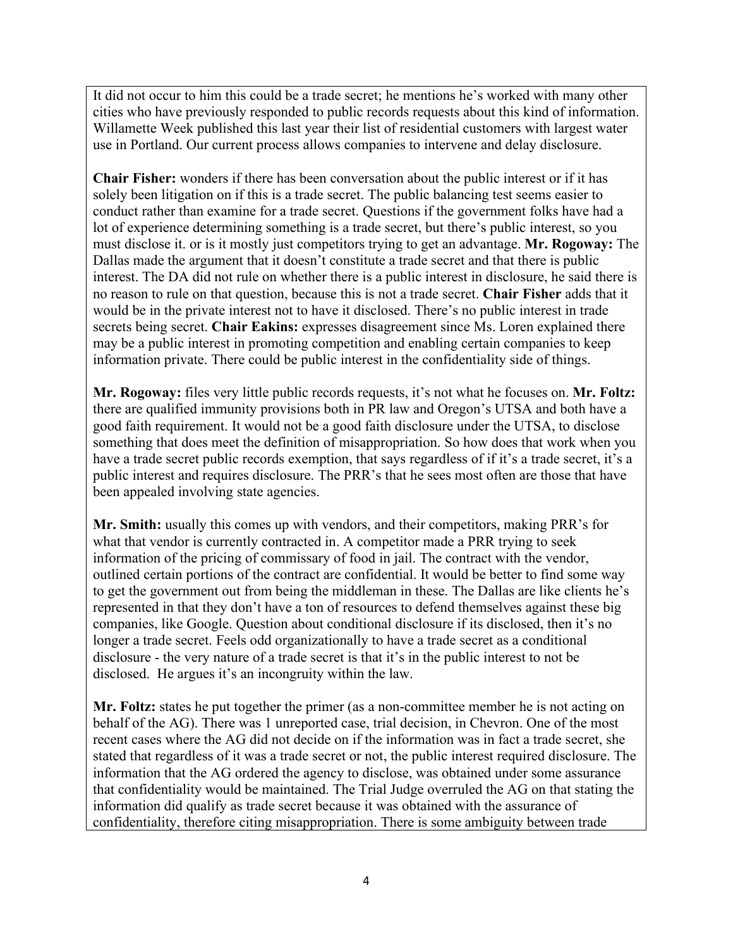It did not occur to him this could be a trade secret; he mentions he's worked with many other cities who have previously responded to public records requests about this kind of information. Willamette Week published this last year their list of residential customers with largest water use in Portland. Our current process allows companies to intervene and delay disclosure.

**Chair Fisher:** wonders if there has been conversation about the public interest or if it has solely been litigation on if this is a trade secret. The public balancing test seems easier to conduct rather than examine for a trade secret. Questions if the government folks have had a lot of experience determining something is a trade secret, but there's public interest, so you must disclose it. or is it mostly just competitors trying to get an advantage. **Mr. Rogoway:** The Dallas made the argument that it doesn't constitute a trade secret and that there is public interest. The DA did not rule on whether there is a public interest in disclosure, he said there is no reason to rule on that question, because this is not a trade secret. **Chair Fisher** adds that it would be in the private interest not to have it disclosed. There's no public interest in trade secrets being secret. **Chair Eakins:** expresses disagreement since Ms. Loren explained there may be a public interest in promoting competition and enabling certain companies to keep information private. There could be public interest in the confidentiality side of things.

**Mr. Rogoway:** files very little public records requests, it's not what he focuses on. **Mr. Foltz:** there are qualified immunity provisions both in PR law and Oregon's UTSA and both have a good faith requirement. It would not be a good faith disclosure under the UTSA, to disclose something that does meet the definition of misappropriation. So how does that work when you have a trade secret public records exemption, that says regardless of if it's a trade secret, it's a public interest and requires disclosure. The PRR's that he sees most often are those that have been appealed involving state agencies.

**Mr. Smith:** usually this comes up with vendors, and their competitors, making PRR's for what that vendor is currently contracted in. A competitor made a PRR trying to seek information of the pricing of commissary of food in jail. The contract with the vendor, outlined certain portions of the contract are confidential. It would be better to find some way to get the government out from being the middleman in these. The Dallas are like clients he's represented in that they don't have a ton of resources to defend themselves against these big companies, like Google. Question about conditional disclosure if its disclosed, then it's no longer a trade secret. Feels odd organizationally to have a trade secret as a conditional disclosure - the very nature of a trade secret is that it's in the public interest to not be disclosed. He argues it's an incongruity within the law.

**Mr. Foltz:** states he put together the primer (as a non-committee member he is not acting on behalf of the AG). There was 1 unreported case, trial decision, in Chevron. One of the most recent cases where the AG did not decide on if the information was in fact a trade secret, she stated that regardless of it was a trade secret or not, the public interest required disclosure. The information that the AG ordered the agency to disclose, was obtained under some assurance that confidentiality would be maintained. The Trial Judge overruled the AG on that stating the information did qualify as trade secret because it was obtained with the assurance of confidentiality, therefore citing misappropriation. There is some ambiguity between trade